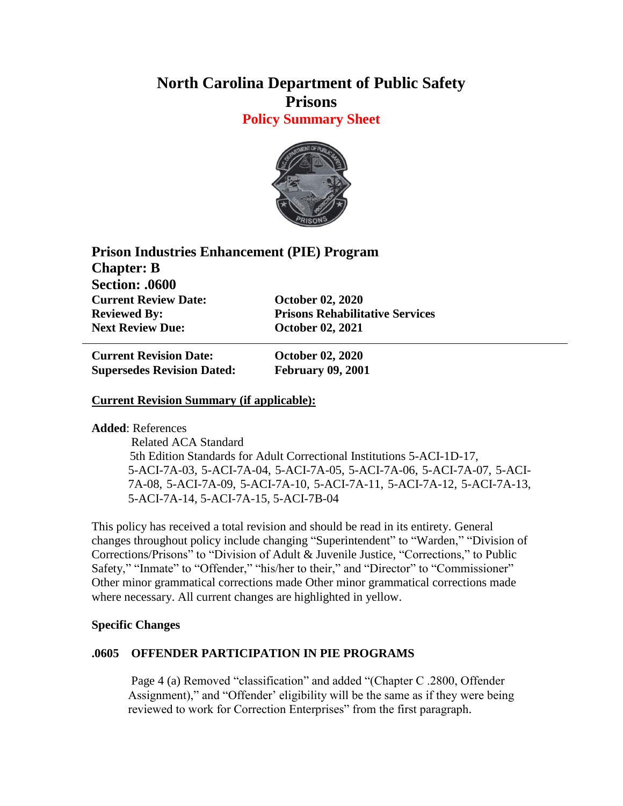# **North Carolina Department of Public Safety Prisons**

**Policy Summary Sheet**



| <b>Prison Industries Enhancement (PIE) Program</b> |                                        |
|----------------------------------------------------|----------------------------------------|
| <b>Chapter: B</b>                                  |                                        |
| <b>Section: .0600</b>                              |                                        |
| <b>Current Review Date:</b>                        | <b>October 02, 2020</b>                |
| <b>Reviewed By:</b>                                | <b>Prisons Rehabilitative Services</b> |
| <b>Next Review Due:</b>                            | <b>October 02, 2021</b>                |

**Current Revision Date: October 02, 2020 Supersedes Revision Dated: February 09, 2001**

## **Current Revision Summary (if applicable):**

**Added**: References

 Related ACA Standard 5th Edition Standards for Adult Correctional Institutions 5-ACI-1D-17, 5-ACI-7A-03, 5-ACI-7A-04, 5-ACI-7A-05, 5-ACI-7A-06, 5-ACI-7A-07, 5-ACI-7A-08, 5-ACI-7A-09, 5-ACI-7A-10, 5-ACI-7A-11, 5-ACI-7A-12, 5-ACI-7A-13, 5-ACI-7A-14, 5-ACI-7A-15, 5-ACI-7B-04

This policy has received a total revision and should be read in its entirety. General changes throughout policy include changing "Superintendent" to "Warden," "Division of Corrections/Prisons" to "Division of Adult & Juvenile Justice, "Corrections," to Public Safety," "Inmate" to "Offender," "his/her to their," and "Director" to "Commissioner" Other minor grammatical corrections made Other minor grammatical corrections made where necessary. All current changes are highlighted in yellow.

#### **Specific Changes**

#### **.0605 OFFENDER PARTICIPATION IN PIE PROGRAMS**

Page 4 (a) Removed "classification" and added "(Chapter C .2800, Offender Assignment)," and "Offender' eligibility will be the same as if they were being reviewed to work for Correction Enterprises" from the first paragraph.